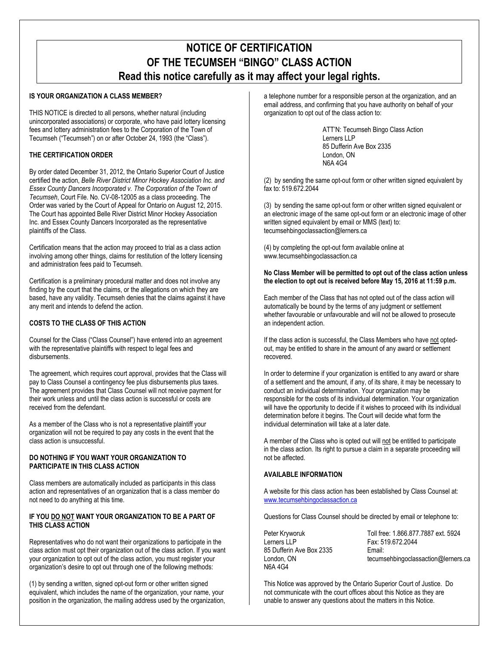# **NOTICE OF CERTIFICATION OF THE TECUMSEH "BINGO" CLASS ACTION Read this notice carefully as it may affect your legal rights.**

## **IS YOUR ORGANIZATION A CLASS MEMBER?**

THIS NOTICE is directed to all persons, whether natural (including unincorporated associations) or corporate, who have paid lottery licensing fees and lottery administration fees to the Corporation of the Town of Tecumseh ("Tecumseh") on or after October 24, 1993 (the "Class").

### **THE CERTIFICATION ORDER**

By order dated December 31, 2012, the Ontario Superior Court of Justice certified the action, *Belle River District Minor Hockey Association Inc. and Essex County Dancers Incorporated v. The Corporation of the Town of Tecumseh*, Court File. No. CV-08-12005 as a class proceeding. The Order was varied by the Court of Appeal for Ontario on August 12, 2015. The Court has appointed Belle River District Minor Hockey Association Inc. and Essex County Dancers Incorporated as the representative plaintiffs of the Class.

Certification means that the action may proceed to trial as a class action involving among other things, claims for restitution of the lottery licensing and administration fees paid to Tecumseh.

Certification is a preliminary procedural matter and does not involve any finding by the court that the claims, or the allegations on which they are based, have any validity. Tecumseh denies that the claims against it have any merit and intends to defend the action.

#### **COSTS TO THE CLASS OF THIS ACTION**

Counsel for the Class ("Class Counsel") have entered into an agreement with the representative plaintiffs with respect to legal fees and disbursements.

The agreement, which requires court approval, provides that the Class will pay to Class Counsel a contingency fee plus disbursements plus taxes. The agreement provides that Class Counsel will not receive payment for their work unless and until the class action is successful or costs are received from the defendant.

As a member of the Class who is not a representative plaintiff your organization will not be required to pay any costs in the event that the class action is unsuccessful.

#### **DO NOTHING IF YOU WANT YOUR ORGANIZATION TO PARTICIPATE IN THIS CLASS ACTION**

Class members are automatically included as participants in this class action and representatives of an organization that is a class member do not need to do anything at this time.

#### **IF YOU DO NOT WANT YOUR ORGANIZATION TO BE A PART OF THIS CLASS ACTION**

Representatives who do not want their organizations to participate in the class action must opt their organization out of the class action. If you want your organization to opt out of the class action, you must register your organization's desire to opt out through one of the following methods:

(1) by sending a written, signed opt-out form or other written signed equivalent, which includes the name of the organization, your name, your position in the organization, the mailing address used by the organization, a telephone number for a responsible person at the organization, and an email address, and confirming that you have authority on behalf of your organization to opt out of the class action to:

> ATT'N: Tecumseh Bingo Class Action Lerners LLP 85 Dufferin Ave Box 2335 London, ON N6A 4G4

(2) by sending the same opt-out form or other written signed equivalent by fax to: 519.672.2044

(3) by sending the same opt-out form or other written signed equivalent or an electronic image of the same opt-out form or an electronic image of other written signed equivalent by email or MMS (text) to: tecumsehbingoclassaction@lerners.ca

(4) by completing the opt-out form available online at www.tecumsehbingoclassaction.ca

#### **No Class Member will be permitted to opt out of the class action unless the election to opt out is received before May 15, 2016 at 11:59 p.m.**

Each member of the Class that has not opted out of the class action will automatically be bound by the terms of any judgment or settlement whether favourable or unfavourable and will not be allowed to prosecute an independent action.

If the class action is successful, the Class Members who have not optedout, may be entitled to share in the amount of any award or settlement recovered.

In order to determine if your organization is entitled to any award or share of a settlement and the amount, if any, of its share, it may be necessary to conduct an individual determination. Your organization may be responsible for the costs of its individual determination. Your organization will have the opportunity to decide if it wishes to proceed with its individual determination before it begins. The Court will decide what form the individual determination will take at a later date.

A member of the Class who is opted out will not be entitled to participate in the class action. Its right to pursue a claim in a separate proceeding will not be affected.

#### **AVAILABLE INFORMATION**

A website for this class action has been established by Class Counsel at: <www.tecumsehbingoclassaction.ca>

Questions for Class Counsel should be directed by email or telephone to:

Peter Kryworuk Lerners LLP 85 Dufferin Ave Box 2335 London, ON N6A 4G4

Toll free: 1.866.877.7887 ext. 5924 Fax: 519.672.2044 Email: tecumsehbingoclassaction@lerners.ca

This Notice was approved by the Ontario Superior Court of Justice. Do not communicate with the court offices about this Notice as they are unable to answer any questions about the matters in this Notice.